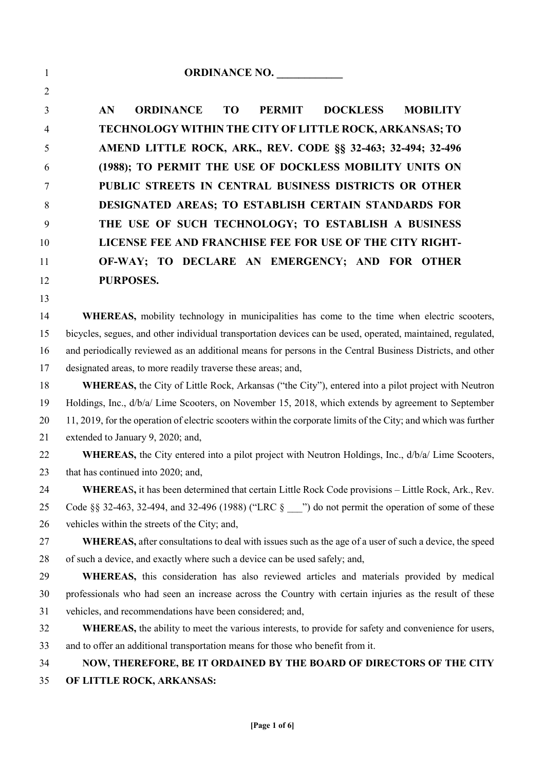**AN ORDINANCE TO PERMIT DOCKLESS MOBILITY TECHNOLOGY WITHIN THE CITY OF LITTLE ROCK, ARKANSAS; TO AMEND LITTLE ROCK, ARK., REV. CODE §§ 32-463; 32-494; 32-496 (1988); TO PERMIT THE USE OF DOCKLESS MOBILITY UNITS ON PUBLIC STREETS IN CENTRAL BUSINESS DISTRICTS OR OTHER DESIGNATED AREAS; TO ESTABLISH CERTAIN STANDARDS FOR THE USE OF SUCH TECHNOLOGY; TO ESTABLISH A BUSINESS LICENSE FEE AND FRANCHISE FEE FOR USE OF THE CITY RIGHT- OF-WAY; TO DECLARE AN EMERGENCY; AND FOR OTHER PURPOSES.**

**WHEREAS,** mobility technology in municipalities has come to the time when electric scooters, bicycles, segues, and other individual transportation devices can be used, operated, maintained, regulated, and periodically reviewed as an additional means for persons in the Central Business Districts, and other designated areas, to more readily traverse these areas; and,

 **WHEREAS,** the City of Little Rock, Arkansas ("the City"), entered into a pilot project with Neutron Holdings, Inc., d/b/a/ Lime Scooters, on November 15, 2018, which extends by agreement to September 11, 2019, for the operation of electric scooters within the corporate limits of the City; and which was further extended to January 9, 2020; and,

**WHEREAS**, the City entered into a pilot project with Neutron Holdings, Inc., d/b/a/ Lime Scooters, that has continued into 2020; and,

 **WHEREA**S**,** it has been determined that certain Little Rock Code provisions – Little Rock, Ark., Rev. 25 Code §§ 32-463, 32-494, and 32-496 (1988) ("LRC § <sup>2</sup>") do not permit the operation of some of these vehicles within the streets of the City; and,

 **WHEREAS,** after consultations to deal with issues such as the age of a user of such a device, the speed of such a device, and exactly where such a device can be used safely; and,

 **WHEREAS,** this consideration has also reviewed articles and materials provided by medical professionals who had seen an increase across the Country with certain injuries as the result of these vehicles, and recommendations have been considered; and,

 WHEREAS, the ability to meet the various interests, to provide for safety and convenience for users, and to offer an additional transportation means for those who benefit from it.

## **NOW, THEREFORE, BE IT ORDAINED BY THE BOARD OF DIRECTORS OF THE CITY OF LITTLE ROCK, ARKANSAS:**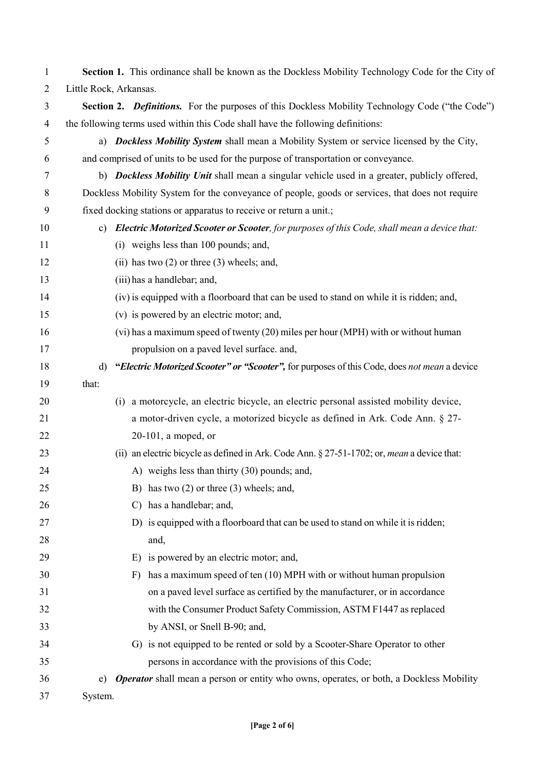| $\mathbf{1}$ | Section 1. This ordinance shall be known as the Dockless Mobility Technology Code for the City of            |  |  |  |  |
|--------------|--------------------------------------------------------------------------------------------------------------|--|--|--|--|
| 2            | Little Rock, Arkansas.                                                                                       |  |  |  |  |
| 3            | Section 2. Definitions. For the purposes of this Dockless Mobility Technology Code ("the Code")              |  |  |  |  |
| 4            | the following terms used within this Code shall have the following definitions:                              |  |  |  |  |
| 5            | a) Dockless Mobility System shall mean a Mobility System or service licensed by the City,                    |  |  |  |  |
| 6            | and comprised of units to be used for the purpose of transportation or conveyance.                           |  |  |  |  |
| 7            | b) Dockless Mobility Unit shall mean a singular vehicle used in a greater, publicly offered,                 |  |  |  |  |
| 8            | Dockless Mobility System for the conveyance of people, goods or services, that does not require              |  |  |  |  |
| 9            | fixed docking stations or apparatus to receive or return a unit.;                                            |  |  |  |  |
| 10           | Electric Motorized Scooter or Scooter, for purposes of this Code, shall mean a device that:<br>$\mathbf{c})$ |  |  |  |  |
| 11           | (i) weighs less than 100 pounds; and,                                                                        |  |  |  |  |
| 12           | (ii) has two $(2)$ or three $(3)$ wheels; and,                                                               |  |  |  |  |
| 13           | (iii) has a handlebar; and,                                                                                  |  |  |  |  |
| 14           | (iv) is equipped with a floorboard that can be used to stand on while it is ridden; and,                     |  |  |  |  |
| 15           | (v) is powered by an electric motor; and,                                                                    |  |  |  |  |
| 16           | (vi) has a maximum speed of twenty (20) miles per hour (MPH) with or without human                           |  |  |  |  |
| 17           | propulsion on a paved level surface. and,                                                                    |  |  |  |  |
| 18           | "Electric Motorized Scooter" or "Scooter", for purposes of this Code, does not mean a device<br>d)           |  |  |  |  |
| 19           | that:                                                                                                        |  |  |  |  |
| 20           | (i) a motorcycle, an electric bicycle, an electric personal assisted mobility device,                        |  |  |  |  |
| 21           | a motor-driven cycle, a motorized bicycle as defined in Ark. Code Ann. § 27-                                 |  |  |  |  |
| 22           | $20-101$ , a moped, or                                                                                       |  |  |  |  |
| 23           | (ii) an electric bicycle as defined in Ark. Code Ann. § 27-51-1702; or, <i>mean</i> a device that:           |  |  |  |  |
| 24           | A) weighs less than thirty (30) pounds; and,                                                                 |  |  |  |  |
| 25           | B) has two $(2)$ or three $(3)$ wheels; and,                                                                 |  |  |  |  |
| 26           | has a handlebar; and,<br>C)                                                                                  |  |  |  |  |
| 27           | D) is equipped with a floorboard that can be used to stand on while it is ridden;                            |  |  |  |  |
| 28           | and,                                                                                                         |  |  |  |  |
| 29           | is powered by an electric motor; and,<br>E)                                                                  |  |  |  |  |
| 30           | has a maximum speed of ten (10) MPH with or without human propulsion<br>F)                                   |  |  |  |  |
| 31           | on a paved level surface as certified by the manufacturer, or in accordance                                  |  |  |  |  |
| 32           | with the Consumer Product Safety Commission, ASTM F1447 as replaced                                          |  |  |  |  |
| 33           | by ANSI, or Snell B-90; and,                                                                                 |  |  |  |  |
| 34           | G) is not equipped to be rented or sold by a Scooter-Share Operator to other                                 |  |  |  |  |
| 35           | persons in accordance with the provisions of this Code;                                                      |  |  |  |  |
| 36           | <b>Operator</b> shall mean a person or entity who owns, operates, or both, a Dockless Mobility<br>e)         |  |  |  |  |
| 37           | System.                                                                                                      |  |  |  |  |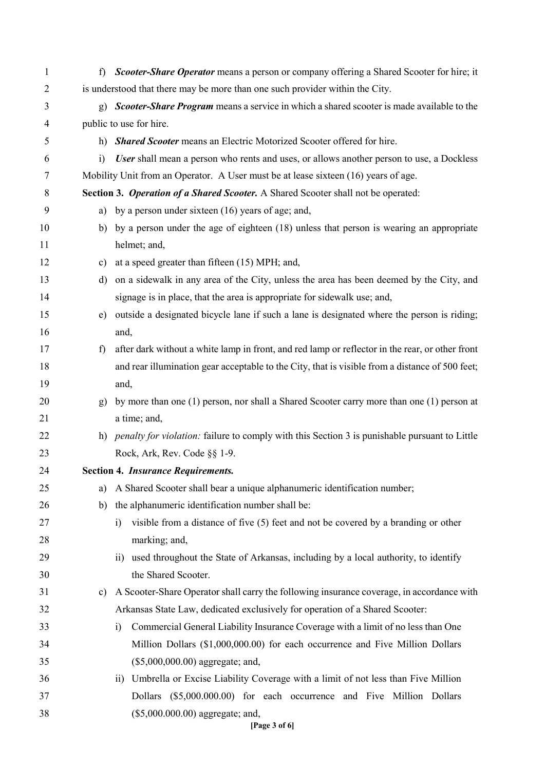| 1              | f                                                                                                                 | Scooter-Share Operator means a person or company offering a Shared Scooter for hire; it          |  |  |  |
|----------------|-------------------------------------------------------------------------------------------------------------------|--------------------------------------------------------------------------------------------------|--|--|--|
| $\overline{2}$ | is understood that there may be more than one such provider within the City.                                      |                                                                                                  |  |  |  |
| 3              | <b>Scooter-Share Program</b> means a service in which a shared scooter is made available to the<br>$\mathbf{g}$ ) |                                                                                                  |  |  |  |
| 4              |                                                                                                                   | public to use for hire.                                                                          |  |  |  |
| 5              | h)                                                                                                                | Shared Scooter means an Electric Motorized Scooter offered for hire.                             |  |  |  |
| 6              | $\ddot{1}$                                                                                                        | User shall mean a person who rents and uses, or allows another person to use, a Dockless         |  |  |  |
| 7              | Mobility Unit from an Operator. A User must be at lease sixteen (16) years of age.                                |                                                                                                  |  |  |  |
| 8              | Section 3. Operation of a Shared Scooter. A Shared Scooter shall not be operated:                                 |                                                                                                  |  |  |  |
| 9              | a)                                                                                                                | by a person under sixteen (16) years of age; and,                                                |  |  |  |
| 10             | b)                                                                                                                | by a person under the age of eighteen (18) unless that person is wearing an appropriate          |  |  |  |
| 11             | helmet; and,                                                                                                      |                                                                                                  |  |  |  |
| 12             | $\mathbf{c})$                                                                                                     | at a speed greater than fifteen (15) MPH; and,                                                   |  |  |  |
| 13             | d)                                                                                                                | on a sidewalk in any area of the City, unless the area has been deemed by the City, and          |  |  |  |
| 14             |                                                                                                                   | signage is in place, that the area is appropriate for sidewalk use; and,                         |  |  |  |
| 15             | $\epsilon$ )                                                                                                      | outside a designated bicycle lane if such a lane is designated where the person is riding;       |  |  |  |
| 16             |                                                                                                                   | and,                                                                                             |  |  |  |
| 17             | f                                                                                                                 | after dark without a white lamp in front, and red lamp or reflector in the rear, or other front  |  |  |  |
| 18             |                                                                                                                   | and rear illumination gear acceptable to the City, that is visible from a distance of 500 feet;  |  |  |  |
| 19             |                                                                                                                   | and,                                                                                             |  |  |  |
| 20             | g)                                                                                                                | by more than one (1) person, nor shall a Shared Scooter carry more than one (1) person at        |  |  |  |
| 21             |                                                                                                                   | a time; and,                                                                                     |  |  |  |
| 22             |                                                                                                                   | h) penalty for violation: failure to comply with this Section 3 is punishable pursuant to Little |  |  |  |
| 23             |                                                                                                                   | Rock, Ark, Rev. Code §§ 1-9.                                                                     |  |  |  |
| 24             |                                                                                                                   | <b>Section 4. Insurance Requirements.</b>                                                        |  |  |  |
| 25             | a)                                                                                                                | A Shared Scooter shall bear a unique alphanumeric identification number;                         |  |  |  |
| 26             | b)                                                                                                                | the alphanumeric identification number shall be:                                                 |  |  |  |
| 27             |                                                                                                                   | visible from a distance of five (5) feet and not be covered by a branding or other<br>i)         |  |  |  |
| 28             |                                                                                                                   | marking; and,                                                                                    |  |  |  |
| 29             |                                                                                                                   | ii) used throughout the State of Arkansas, including by a local authority, to identify           |  |  |  |
| 30             |                                                                                                                   | the Shared Scooter.                                                                              |  |  |  |
| 31             | c)                                                                                                                | A Scooter-Share Operator shall carry the following insurance coverage, in accordance with        |  |  |  |
| 32             |                                                                                                                   | Arkansas State Law, dedicated exclusively for operation of a Shared Scooter:                     |  |  |  |
| 33             |                                                                                                                   | Commercial General Liability Insurance Coverage with a limit of no less than One<br>$\ddot{1}$   |  |  |  |
| 34             |                                                                                                                   | Million Dollars (\$1,000,000.00) for each occurrence and Five Million Dollars                    |  |  |  |
| 35             |                                                                                                                   | (\$5,000,000.00) aggregate; and,                                                                 |  |  |  |
| 36             |                                                                                                                   | ii) Umbrella or Excise Liability Coverage with a limit of not less than Five Million             |  |  |  |
| 37             |                                                                                                                   | Dollars (\$5,000.000.00) for each occurrence and Five Million Dollars                            |  |  |  |
| 38             |                                                                                                                   | (\$5,000.000.00) aggregate; and,<br>[Page 3 of 6]                                                |  |  |  |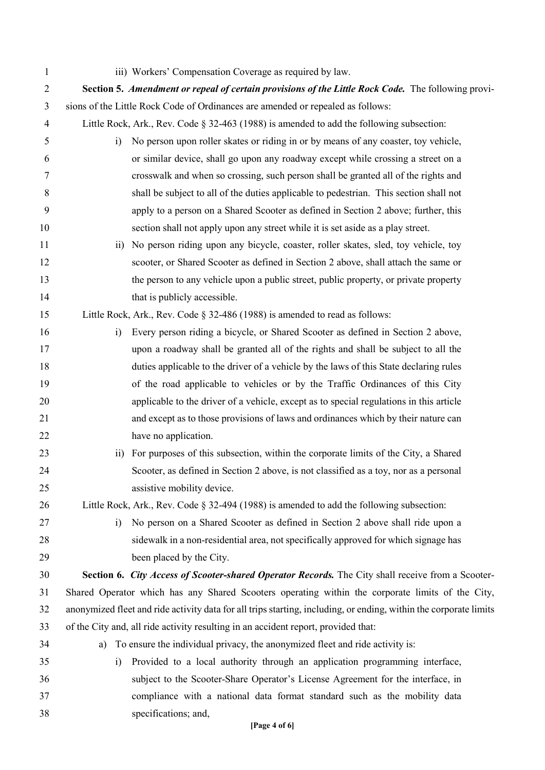| $\mathbf{1}$   | iii) Workers' Compensation Coverage as required by law.                                                           |  |  |  |
|----------------|-------------------------------------------------------------------------------------------------------------------|--|--|--|
| $\overline{2}$ | Section 5. Amendment or repeal of certain provisions of the Little Rock Code. The following provi-                |  |  |  |
| 3              | sions of the Little Rock Code of Ordinances are amended or repealed as follows:                                   |  |  |  |
| 4              | Little Rock, Ark., Rev. Code § 32-463 (1988) is amended to add the following subsection:                          |  |  |  |
| 5              | No person upon roller skates or riding in or by means of any coaster, toy vehicle,<br>$\ddot{1}$                  |  |  |  |
| 6              | or similar device, shall go upon any roadway except while crossing a street on a                                  |  |  |  |
| 7              | crosswalk and when so crossing, such person shall be granted all of the rights and                                |  |  |  |
| 8              | shall be subject to all of the duties applicable to pedestrian. This section shall not                            |  |  |  |
| 9              | apply to a person on a Shared Scooter as defined in Section 2 above; further, this                                |  |  |  |
| 10             | section shall not apply upon any street while it is set aside as a play street.                                   |  |  |  |
| 11             | No person riding upon any bicycle, coaster, roller skates, sled, toy vehicle, toy<br>$\overline{11}$              |  |  |  |
| 12             | scooter, or Shared Scooter as defined in Section 2 above, shall attach the same or                                |  |  |  |
| 13             | the person to any vehicle upon a public street, public property, or private property                              |  |  |  |
| 14             | that is publicly accessible.                                                                                      |  |  |  |
| 15             | Little Rock, Ark., Rev. Code § 32-486 (1988) is amended to read as follows:                                       |  |  |  |
| 16             | Every person riding a bicycle, or Shared Scooter as defined in Section 2 above,<br>i)                             |  |  |  |
| 17             | upon a roadway shall be granted all of the rights and shall be subject to all the                                 |  |  |  |
| 18             | duties applicable to the driver of a vehicle by the laws of this State declaring rules                            |  |  |  |
| 19             | of the road applicable to vehicles or by the Traffic Ordinances of this City                                      |  |  |  |
| 20             | applicable to the driver of a vehicle, except as to special regulations in this article                           |  |  |  |
| 21             | and except as to those provisions of laws and ordinances which by their nature can                                |  |  |  |
| 22             | have no application.                                                                                              |  |  |  |
| 23             | For purposes of this subsection, within the corporate limits of the City, a Shared<br>$\overline{11}$             |  |  |  |
| 24             | Scooter, as defined in Section 2 above, is not classified as a toy, nor as a personal                             |  |  |  |
| 25             | assistive mobility device.                                                                                        |  |  |  |
| 26             | Little Rock, Ark., Rev. Code $\S$ 32-494 (1988) is amended to add the following subsection:                       |  |  |  |
| 27             | No person on a Shared Scooter as defined in Section 2 above shall ride upon a<br>$\ddot{1}$                       |  |  |  |
| 28             | sidewalk in a non-residential area, not specifically approved for which signage has                               |  |  |  |
| 29             | been placed by the City.                                                                                          |  |  |  |
| 30             | Section 6. City Access of Scooter-shared Operator Records. The City shall receive from a Scooter-                 |  |  |  |
| 31             | Shared Operator which has any Shared Scooters operating within the corporate limits of the City,                  |  |  |  |
| 32             | anonymized fleet and ride activity data for all trips starting, including, or ending, within the corporate limits |  |  |  |
| 33             | of the City and, all ride activity resulting in an accident report, provided that:                                |  |  |  |
| 34             | To ensure the individual privacy, the anonymized fleet and ride activity is:<br>a)                                |  |  |  |
| 35             | Provided to a local authority through an application programming interface,<br>$\ddot{1}$                         |  |  |  |
| 36             | subject to the Scooter-Share Operator's License Agreement for the interface, in                                   |  |  |  |
| 37             | compliance with a national data format standard such as the mobility data                                         |  |  |  |
| 38             | specifications; and,                                                                                              |  |  |  |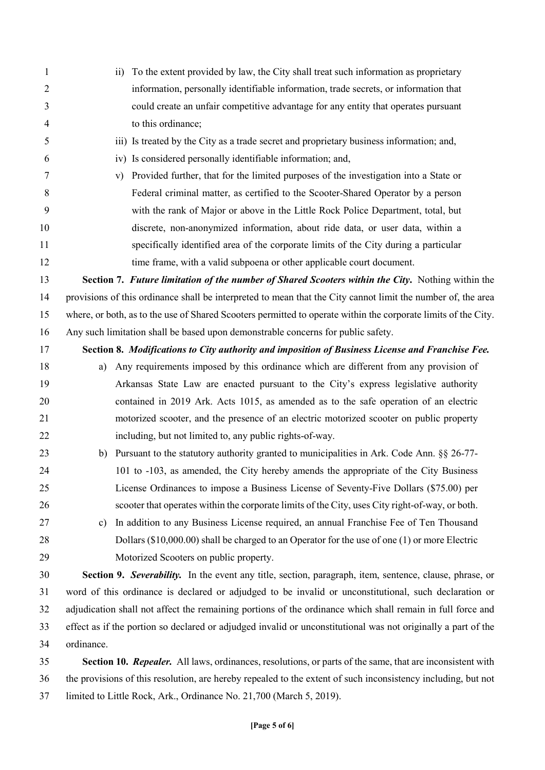- 1 ii) To the extent provided by law, the City shall treat such information as proprietary information, personally identifiable information, trade secrets, or information that could create an unfair competitive advantage for any entity that operates pursuant to this ordinance; iii) Is treated by the City as a trade secret and proprietary business information; and, iv) Is considered personally identifiable information; and, v) Provided further, that for the limited purposes of the investigation into a State or Federal criminal matter, as certified to the Scooter-Shared Operator by a person with the rank of Major or above in the Little Rock Police Department, total, but discrete, non-anonymized information, about ride data, or user data, within a specifically identified area of the corporate limits of the City during a particular 12 time frame, with a valid subpoena or other applicable court document. **Section 7.** *Future limitation of the number of Shared Scooters within the City***.** Nothing within the provisions of this ordinance shall be interpreted to mean that the City cannot limit the number of, the area where, or both, as to the use of Shared Scooters permitted to operate within the corporate limits of the City. Any such limitation shall be based upon demonstrable concerns for public safety. **Section 8.** *Modifications to City authority and imposition of Business License and Franchise Fee.* a) Any requirements imposed by this ordinance which are different from any provision of Arkansas State Law are enacted pursuant to the City's express legislative authority contained in 2019 Ark. Acts 1015, as amended as to the safe operation of an electric motorized scooter, and the presence of an electric motorized scooter on public property including, but not limited to, any public rights-of-way. 23 b) Pursuant to the statutory authority granted to municipalities in Ark. Code Ann. §§ 26-77- 101 to -103, as amended, the City hereby amends the appropriate of the City Business License Ordinances to impose a Business License of Seventy-Five Dollars (\$75.00) per scooter that operates within the corporate limits of the City, uses City right-of-way, or both. c) In addition to any Business License required, an annual Franchise Fee of Ten Thousand Dollars (\$10,000.00) shall be charged to an Operator for the use of one (1) or more Electric Motorized Scooters on public property. **Section 9.** *Severability.* In the event any title, section, paragraph, item, sentence, clause, phrase, or word of this ordinance is declared or adjudged to be invalid or unconstitutional, such declaration or adjudication shall not affect the remaining portions of the ordinance which shall remain in full force and effect as if the portion so declared or adjudged invalid or unconstitutional was not originally a part of the ordinance. **Section 10.** *Repealer.* All laws, ordinances, resolutions, or parts of the same, that are inconsistent with the provisions of this resolution, are hereby repealed to the extent of such inconsistency including, but not
	- limited to Little Rock, Ark., Ordinance No. 21,700 (March 5, 2019).